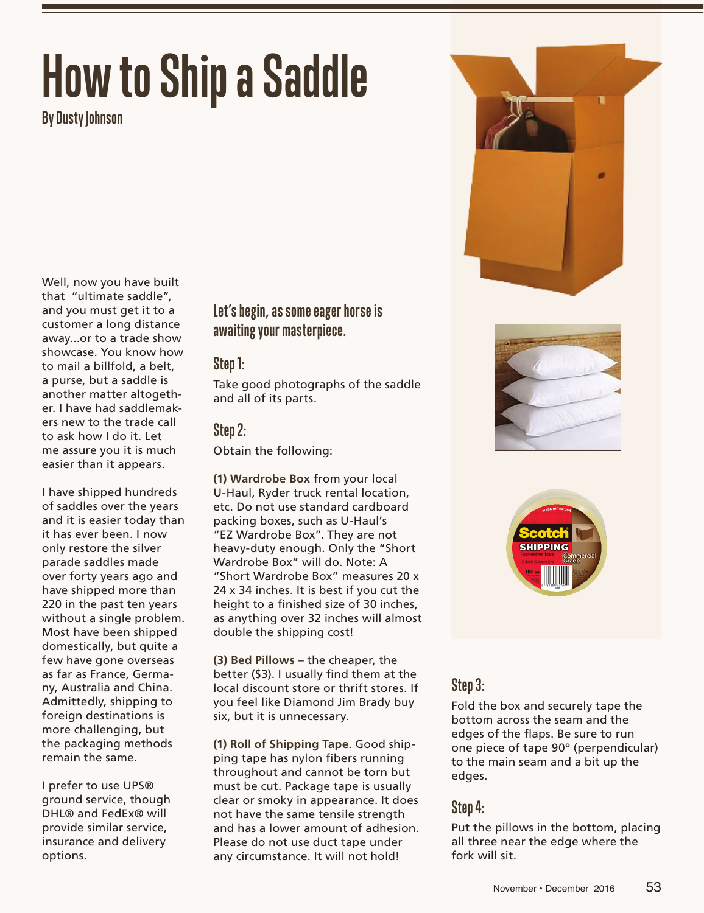# **How to Ship a Saddle**

**By Dusty Johnson**

Well, now you have built that "ultimate saddle", and you must get it to a customer a long distance away...or to a trade show showcase. You know how to mail a billfold, a belt, a purse, but a saddle is another matter altogether. I have had saddlemakers new to the trade call to ask how I do it. Let me assure you it is much easier than it appears.

I have shipped hundreds of saddles over the years and it is easier today than it has ever been. I now only restore the silver parade saddles made over forty years ago and have shipped more than 220 in the past ten years without a single problem. Most have been shipped domestically, but quite a few have gone overseas as far as France, Germany, Australia and China. Admittedly, shipping to foreign destinations is more challenging, but the packaging methods remain the same.

I prefer to use UPS® ground service, though DHL® and FedEx® will provide similar service, insurance and delivery options.

### **Let's begin, as some eager horse is awaiting your masterpiece.**

#### **Step 1:**

Take good photographs of the saddle and all of its parts.

#### **Step 2:**

Obtain the following:

**(1) Wardrobe Box** from your local U-Haul, Ryder truck rental location, etc. Do not use standard cardboard packing boxes, such as U-Haul's "EZ Wardrobe Box". They are not heavy-duty enough. Only the "Short Wardrobe Box" will do. Note: A "Short Wardrobe Box" measures 20 x 24 x 34 inches. It is best if you cut the height to a finished size of 30 inches, as anything over 32 inches will almost double the shipping cost!

**(3) Bed Pillows** – the cheaper, the better (\$3). I usually find them at the local discount store or thrift stores. If you feel like Diamond Jim Brady buy six, but it is unnecessary.

**(1) Roll of Shipping Tape**. Good shipping tape has nylon fibers running throughout and cannot be torn but must be cut. Package tape is usually clear or smoky in appearance. It does not have the same tensile strength and has a lower amount of adhesion. Please do not use duct tape under any circumstance. It will not hold!







#### **Step 3:**

Fold the box and securely tape the bottom across the seam and the edges of the flaps. Be sure to run one piece of tape 90º (perpendicular) to the main seam and a bit up the edges.

#### **Step 4:**

Put the pillows in the bottom, placing all three near the edge where the fork will sit.